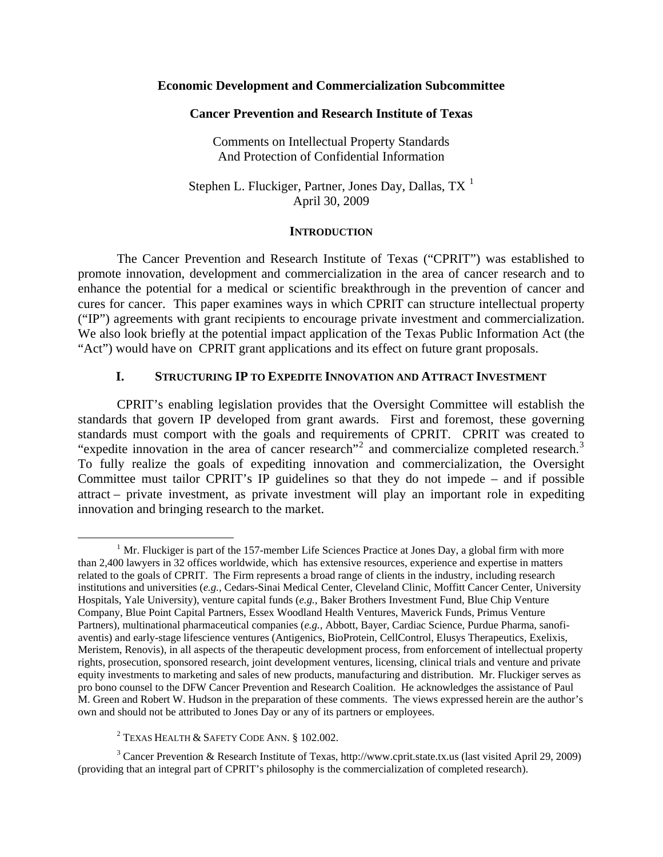### **Economic Development and Commercialization Subcommittee**

## **Cancer Prevention and Research Institute of Texas**

Comments on Intellectual Property Standards And Protection of Confidential Information

Stephen L. Fluckiger, Partner, Jones Day, Dallas, TX<sup>[1](#page-0-0)</sup> April 30, 2009

### **INTRODUCTION**

The Cancer Prevention and Research Institute of Texas ("CPRIT") was established to promote innovation, development and commercialization in the area of cancer research and to enhance the potential for a medical or scientific breakthrough in the prevention of cancer and cures for cancer. This paper examines ways in which CPRIT can structure intellectual property ("IP") agreements with grant recipients to encourage private investment and commercialization. We also look briefly at the potential impact application of the Texas Public Information Act (the "Act") would have on CPRIT grant applications and its effect on future grant proposals.

# **I. STRUCTURING IP TO EXPEDITE INNOVATION AND ATTRACT INVESTMENT**

CPRIT's enabling legislation provides that the Oversight Committee will establish the standards that govern IP developed from grant awards. First and foremost, these governing standards must comport with the goals and requirements of CPRIT. CPRIT was created to "expedite innovation in the area of cancer research"<sup>[2](#page-0-1)</sup> and commercialize completed research.<sup>[3](#page-0-2)</sup> To fully realize the goals of expediting innovation and commercialization, the Oversight Committee must tailor CPRIT's IP guidelines so that they do not impede – and if possible attract – private investment, as private investment will play an important role in expediting innovation and bringing research to the market.

<span id="page-0-0"></span> $<sup>1</sup>$  Mr. Fluckiger is part of the 157-member Life Sciences Practice at Jones Day, a global firm with more</sup> than 2,400 lawyers in 32 offices worldwide, which has extensive resources, experience and expertise in matters related to the goals of CPRIT. The Firm represents a broad range of clients in the industry, including research institutions and universities (*e.g.,* Cedars-Sinai Medical Center, Cleveland Clinic, Moffitt Cancer Center, University Hospitals, Yale University), venture capital funds (*e.g.,* Baker Brothers Investment Fund, Blue Chip Venture Company, Blue Point Capital Partners, Essex Woodland Health Ventures, Maverick Funds, Primus Venture Partners), multinational pharmaceutical companies (*e.g.,* Abbott, Bayer, Cardiac Science, Purdue Pharma, sanofiaventis) and early-stage lifescience ventures (Antigenics, BioProtein, CellControl, Elusys Therapeutics, Exelixis, Meristem, Renovis), in all aspects of the therapeutic development process, from enforcement of intellectual property rights, prosecution, sponsored research, joint development ventures, licensing, clinical trials and venture and private equity investments to marketing and sales of new products, manufacturing and distribution. Mr. Fluckiger serves as pro bono counsel to the DFW Cancer Prevention and Research Coalition. He acknowledges the assistance of Paul M. Green and Robert W. Hudson in the preparation of these comments. The views expressed herein are the author's own and should not be attributed to Jones Day or any of its partners or employees.

 $2$  Texas Health & Safety Code Ann. § 102.002.

<span id="page-0-2"></span><span id="page-0-1"></span><sup>&</sup>lt;sup>3</sup> Cancer Prevention & Research Institute of Texas, http://www.cprit.state.tx.us (last visited April 29, 2009) (providing that an integral part of CPRIT's philosophy is the commercialization of completed research).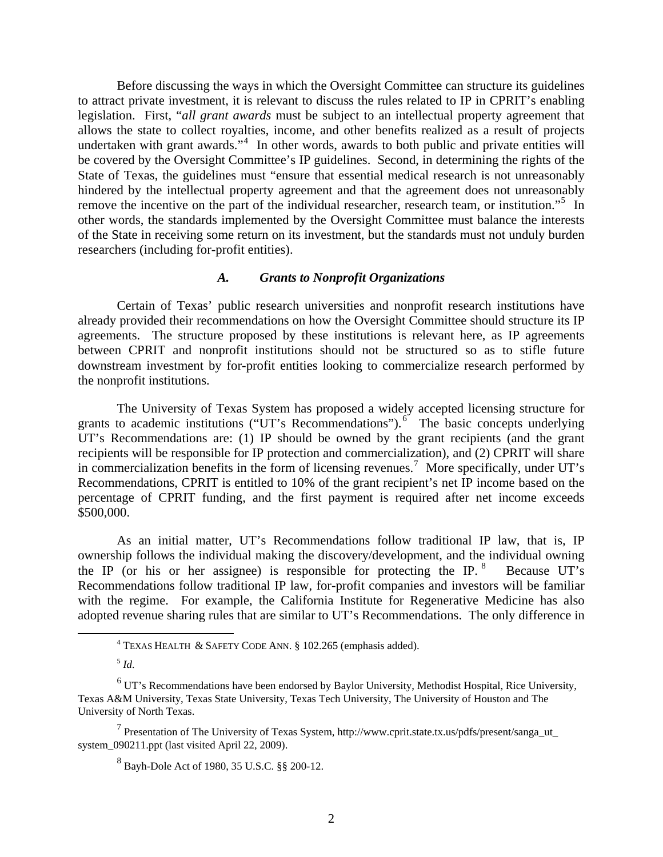Before discussing the ways in which the Oversight Committee can structure its guidelines to attract private investment, it is relevant to discuss the rules related to IP in CPRIT's enabling legislation. First, "*all grant awards* must be subject to an intellectual property agreement that allows the state to collect royalties, income, and other benefits realized as a result of projects undertaken with grant awards."<sup>[4](#page-1-0)</sup> In other words, awards to both public and private entities will be covered by the Oversight Committee's IP guidelines. Second, in determining the rights of the State of Texas, the guidelines must "ensure that essential medical research is not unreasonably hindered by the intellectual property agreement and that the agreement does not unreasonably remove the incentive on the part of the individual researcher, research team, or institution."<sup>[5](#page-1-1)</sup> In other words, the standards implemented by the Oversight Committee must balance the interests of the State in receiving some return on its investment, but the standards must not unduly burden researchers (including for-profit entities).

### *A. Grants to Nonprofit Organizations*

Certain of Texas' public research universities and nonprofit research institutions have already provided their recommendations on how the Oversight Committee should structure its IP agreements. The structure proposed by these institutions is relevant here, as IP agreements between CPRIT and nonprofit institutions should not be structured so as to stifle future downstream investment by for-profit entities looking to commercialize research performed by the nonprofit institutions.

The University of Texas System has proposed a widely accepted licensing structure for grants to academic institutions ("UT's Recommendations"). $6$  The basic concepts underlying UT's Recommendations are: (1) IP should be owned by the grant recipients (and the grant recipients will be responsible for IP protection and commercialization), and (2) CPRIT will share in commercialization benefits in the form of licensing revenues.[7](#page-1-3) More specifically, under UT's Recommendations, CPRIT is entitled to 10% of the grant recipient's net IP income based on the percentage of CPRIT funding, and the first payment is required after net income exceeds \$500,000.

As an initial matter, UT's Recommendations follow traditional IP law, that is, IP ownership follows the individual making the discovery/development, and the individual owning the IP (or his or her assignee) is responsible for protecting the IP.<sup>[8](#page-1-4)</sup> Because UT's Recommendations follow traditional IP law, for-profit companies and investors will be familiar with the regime. For example, the California Institute for Regenerative Medicine has also adopted revenue sharing rules that are similar to UT's Recommendations. The only difference in

<span id="page-1-0"></span> $\frac{1}{4}$ TEXAS HEALTH & SAFETY CODE ANN. § 102.265 (emphasis added).

<sup>5</sup> *Id.*

<span id="page-1-2"></span><span id="page-1-1"></span> $<sup>6</sup>$  UT's Recommendations have been endorsed by Baylor University, Methodist Hospital, Rice University,</sup> Texas A&M University, Texas State University, Texas Tech University, The University of Houston and The University of North Texas.

<span id="page-1-4"></span><span id="page-1-3"></span><sup>7</sup> Presentation of The University of Texas System, http://www.cprit.state.tx.us/pdfs/present/sanga\_ut\_ system\_090211.ppt (last visited April 22, 2009).

<sup>8</sup> Bayh-Dole Act of 1980, 35 U.S.C. §§ 200-12.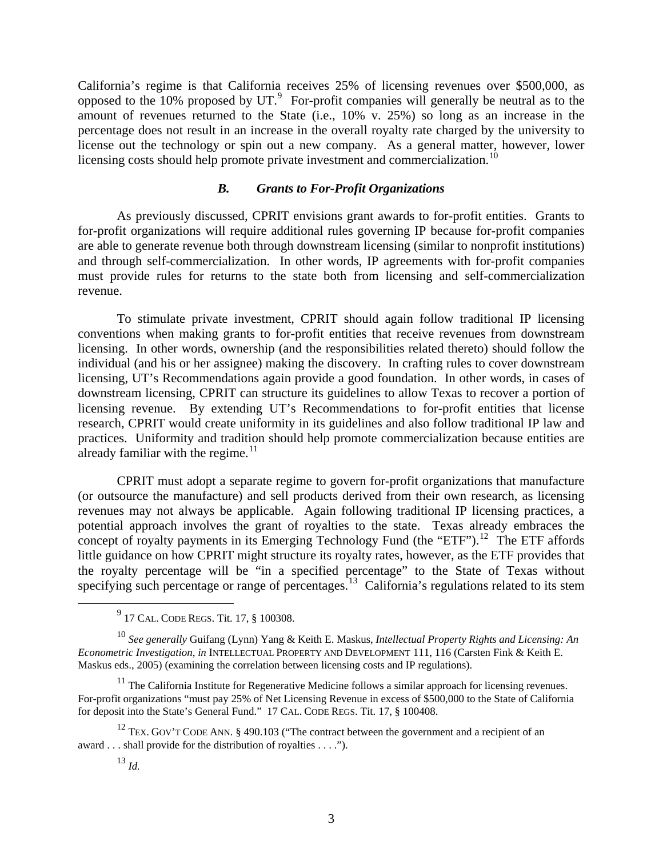California's regime is that California receives 25% of licensing revenues over \$500,000, as opposed to the 10% proposed by  $UT$ . For-profit companies will generally be neutral as to the amount of revenues returned to the State (i.e., 10% v. 25%) so long as an increase in the percentage does not result in an increase in the overall royalty rate charged by the university to license out the technology or spin out a new company. As a general matter, however, lower licensing costs should help promote private investment and commercialization.<sup>[10](#page-2-1)</sup>

#### *B. Grants to For-Profit Organizations*

As previously discussed, CPRIT envisions grant awards to for-profit entities. Grants to for-profit organizations will require additional rules governing IP because for-profit companies are able to generate revenue both through downstream licensing (similar to nonprofit institutions) and through self-commercialization. In other words, IP agreements with for-profit companies must provide rules for returns to the state both from licensing and self-commercialization revenue.

To stimulate private investment, CPRIT should again follow traditional IP licensing conventions when making grants to for-profit entities that receive revenues from downstream licensing. In other words, ownership (and the responsibilities related thereto) should follow the individual (and his or her assignee) making the discovery. In crafting rules to cover downstream licensing, UT's Recommendations again provide a good foundation. In other words, in cases of downstream licensing, CPRIT can structure its guidelines to allow Texas to recover a portion of licensing revenue. By extending UT's Recommendations to for-profit entities that license research, CPRIT would create uniformity in its guidelines and also follow traditional IP law and practices. Uniformity and tradition should help promote commercialization because entities are already familiar with the regime. $11$ 

CPRIT must adopt a separate regime to govern for-profit organizations that manufacture (or outsource the manufacture) and sell products derived from their own research, as licensing revenues may not always be applicable. Again following traditional IP licensing practices, a potential approach involves the grant of royalties to the state. Texas already embraces the concept of royalty payments in its Emerging Technology Fund (the "ETF").<sup>[12](#page-2-3)</sup> The ETF affords little guidance on how CPRIT might structure its royalty rates, however, as the ETF provides that the royalty percentage will be "in a specified percentage" to the State of Texas without specifying such percentage or range of percentages.<sup>[13](#page-2-4)</sup> California's regulations related to its stem

<span id="page-2-0"></span> <sup>9</sup>  $^{9}$  17 CAL. CODE REGS. Tit. 17,  $\frac{8}{100308}$ .

<span id="page-2-1"></span><sup>10</sup> *See generally* Guifang (Lynn) Yang & Keith E. Maskus, *Intellectual Property Rights and Licensing: An Econometric Investigation*, *in* INTELLECTUAL PROPERTY AND DEVELOPMENT 111, 116 (Carsten Fink & Keith E. Maskus eds., 2005) (examining the correlation between licensing costs and IP regulations).

<span id="page-2-2"></span> $11$  The California Institute for Regenerative Medicine follows a similar approach for licensing revenues. For-profit organizations "must pay 25% of Net Licensing Revenue in excess of \$500,000 to the State of California for deposit into the State's General Fund." 17 CAL. CODE REGS. Tit. 17, § 100408.

<span id="page-2-4"></span><span id="page-2-3"></span><sup>&</sup>lt;sup>12</sup> TEX. GOV'T CODE ANN. § 490.103 ("The contract between the government and a recipient of an award . . . shall provide for the distribution of royalties . . . .").

<sup>13</sup> *Id.*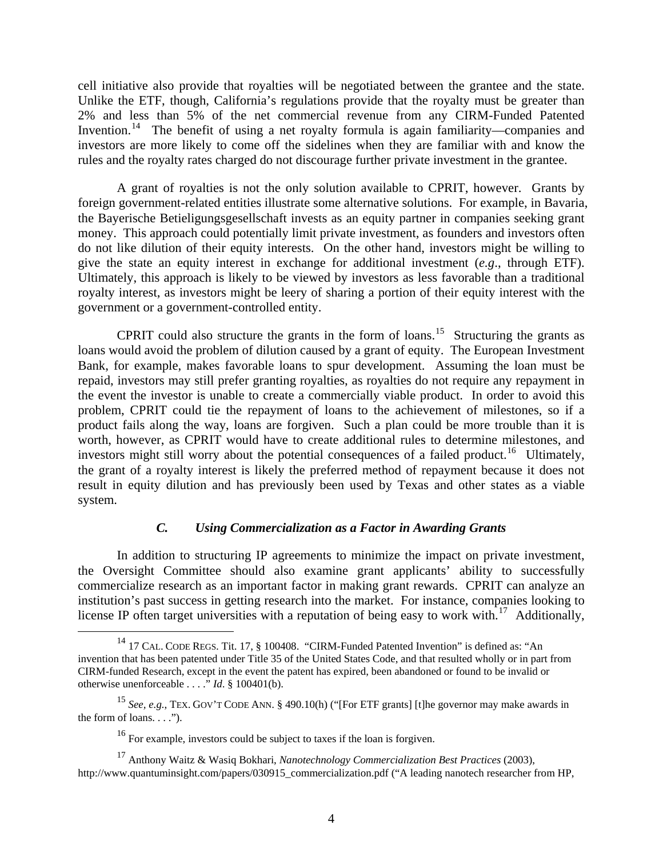cell initiative also provide that royalties will be negotiated between the grantee and the state. Unlike the ETF, though, California's regulations provide that the royalty must be greater than 2% and less than 5% of the net commercial revenue from any CIRM-Funded Patented Invention.<sup>[14](#page-3-0)</sup> The benefit of using a net royalty formula is again familiarity—companies and investors are more likely to come off the sidelines when they are familiar with and know the rules and the royalty rates charged do not discourage further private investment in the grantee.

A grant of royalties is not the only solution available to CPRIT, however. Grants by foreign government-related entities illustrate some alternative solutions. For example, in Bavaria, the Bayerische Betieligungsgesellschaft invests as an equity partner in companies seeking grant money. This approach could potentially limit private investment, as founders and investors often do not like dilution of their equity interests. On the other hand, investors might be willing to give the state an equity interest in exchange for additional investment (*e.g*., through ETF). Ultimately, this approach is likely to be viewed by investors as less favorable than a traditional royalty interest, as investors might be leery of sharing a portion of their equity interest with the government or a government-controlled entity.

CPRIT could also structure the grants in the form of loans.<sup>[15](#page-3-1)</sup> Structuring the grants as loans would avoid the problem of dilution caused by a grant of equity. The European Investment Bank, for example, makes favorable loans to spur development. Assuming the loan must be repaid, investors may still prefer granting royalties, as royalties do not require any repayment in the event the investor is unable to create a commercially viable product. In order to avoid this problem, CPRIT could tie the repayment of loans to the achievement of milestones, so if a product fails along the way, loans are forgiven. Such a plan could be more trouble than it is worth, however, as CPRIT would have to create additional rules to determine milestones, and investors might still worry about the potential consequences of a failed product.<sup>[16](#page-3-2)</sup> Ultimately, the grant of a royalty interest is likely the preferred method of repayment because it does not result in equity dilution and has previously been used by Texas and other states as a viable system.

## *C. Using Commercialization as a Factor in Awarding Grants*

In addition to structuring IP agreements to minimize the impact on private investment, the Oversight Committee should also examine grant applicants' ability to successfully commercialize research as an important factor in making grant rewards. CPRIT can analyze an institution's past success in getting research into the market. For instance, companies looking to license IP often target universities with a reputation of being easy to work with.<sup>[17](#page-3-3)</sup> Additionally,

<span id="page-3-0"></span><sup>&</sup>lt;sup>14</sup> 17 CAL. CODE REGS. Tit. 17, § 100408. "CIRM-Funded Patented Invention" is defined as: "An invention that has been patented under Title 35 of the United States Code, and that resulted wholly or in part from CIRM-funded Research, except in the event the patent has expired, been abandoned or found to be invalid or otherwise unenforceable . . . ." *Id*. § 100401(b).

<span id="page-3-1"></span><sup>15</sup> *See, e.g.*, TEX. GOV'T CODE ANN. § 490.10(h) ("[For ETF grants] [t]he governor may make awards in the form of loans.  $\dots$ ").

<sup>16</sup> For example, investors could be subject to taxes if the loan is forgiven.

<span id="page-3-3"></span><span id="page-3-2"></span><sup>17</sup> Anthony Waitz & Wasiq Bokhari, *Nanotechnology Commercialization Best Practices* (2003), http://www.quantuminsight.com/papers/030915\_commercialization.pdf ("A leading nanotech researcher from HP,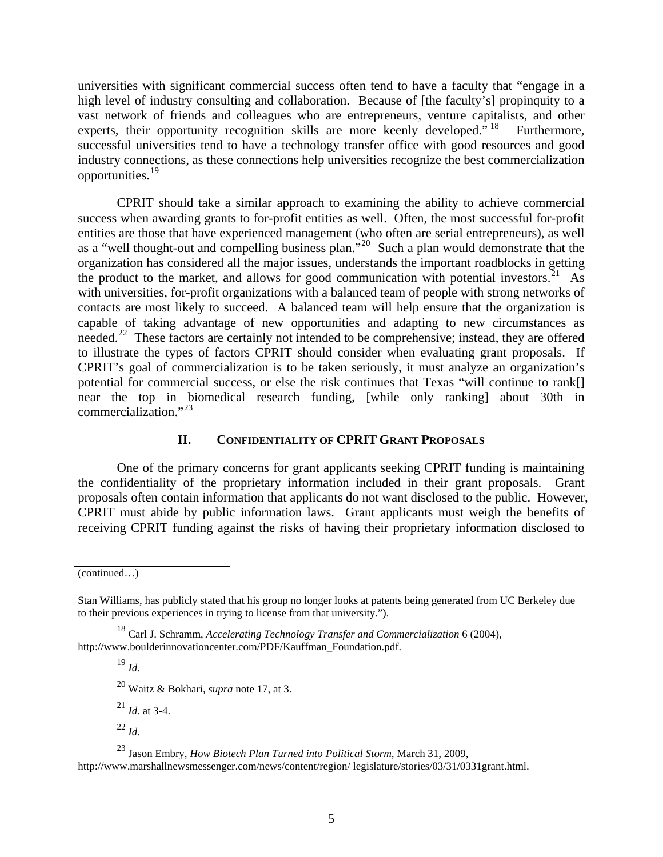universities with significant commercial success often tend to have a faculty that "engage in a high level of industry consulting and collaboration. Because of [the faculty's] propinquity to a vast network of friends and colleagues who are entrepreneurs, venture capitalists, and other experts, their opportunity recognition skills are more keenly developed."  $18$  Furthermore, successful universities tend to have a technology transfer office with good resources and good industry connections, as these connections help universities recognize the best commercialization opportunities.[19](#page-4-1)

CPRIT should take a similar approach to examining the ability to achieve commercial success when awarding grants to for-profit entities as well. Often, the most successful for-profit entities are those that have experienced management (who often are serial entrepreneurs), as well as a "well thought-out and compelling business plan."<sup>[20](#page-4-2)</sup> Such a plan would demonstrate that the organization has considered all the major issues, understands the important roadblocks in getting the product to the market, and allows for good communication with potential investors.<sup>[21](#page-4-3)</sup> As with universities, for-profit organizations with a balanced team of people with strong networks of contacts are most likely to succeed. A balanced team will help ensure that the organization is capable of taking advantage of new opportunities and adapting to new circumstances as needed.<sup>[22](#page-4-4)</sup> These factors are certainly not intended to be comprehensive; instead, they are offered to illustrate the types of factors CPRIT should consider when evaluating grant proposals. If CPRIT's goal of commercialization is to be taken seriously, it must analyze an organization's potential for commercial success, or else the risk continues that Texas "will continue to rank[] near the top in biomedical research funding, [while only ranking] about 30th in commercialization."[23](#page-4-5)

# **II. CONFIDENTIALITY OF CPRIT GRANT PROPOSALS**

One of the primary concerns for grant applicants seeking CPRIT funding is maintaining the confidentiality of the proprietary information included in their grant proposals. Grant proposals often contain information that applicants do not want disclosed to the public. However, CPRIT must abide by public information laws. Grant applicants must weigh the benefits of receiving CPRIT funding against the risks of having their proprietary information disclosed to

 $19 \frac{1}{1}$ 

<sup>21</sup> *Id.* at 3-4.

<sup>22</sup> *Id.*

<sup>(</sup>continued…)

Stan Williams, has publicly stated that his group no longer looks at patents being generated from UC Berkeley due to their previous experiences in trying to license from that university.").

<span id="page-4-2"></span><span id="page-4-1"></span><span id="page-4-0"></span><sup>18</sup> Carl J. Schramm, *Accelerating Technology Transfer and Commercialization* 6 (2004), http://www.boulderinnovationcenter.com/PDF/Kauffman\_Foundation.pdf.

<sup>20</sup> Waitz & Bokhari, *supra* note 17, at 3.

<span id="page-4-5"></span><span id="page-4-4"></span><span id="page-4-3"></span><sup>23</sup> Jason Embry, *How Biotech Plan Turned into Political Storm*, March 31, 2009, http://www.marshallnewsmessenger.com/news/content/region/ legislature/stories/03/31/0331grant.html.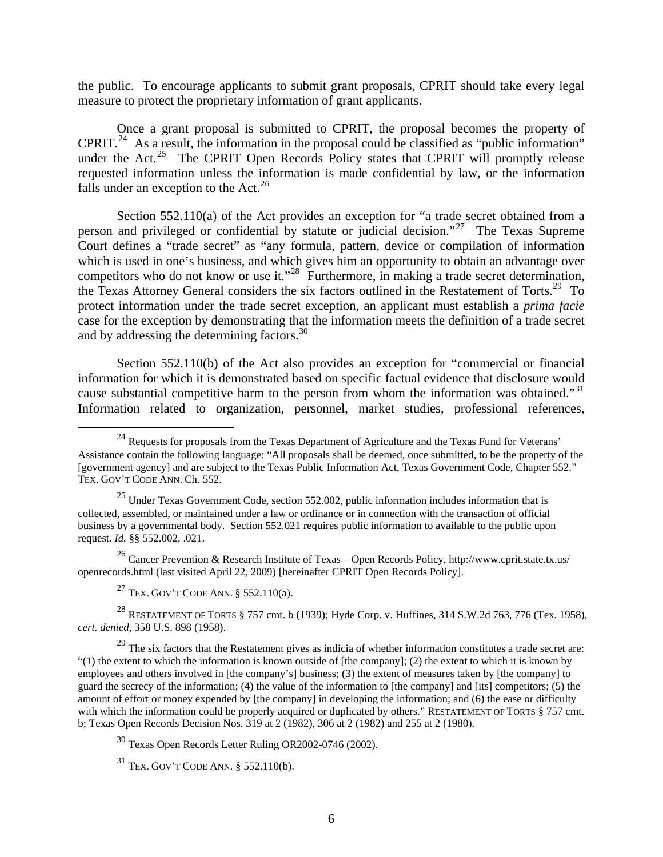the public. To encourage applicants to submit grant proposals, CPRIT should take every legal measure to protect the proprietary information of grant applicants.

Once a grant proposal is submitted to CPRIT, the proposal becomes the property of  $CPRIT.<sup>24</sup>$  $CPRIT.<sup>24</sup>$  $CPRIT.<sup>24</sup>$  As a result, the information in the proposal could be classified as "public information" under the Act.<sup>[25](#page-5-1)</sup> The CPRIT Open Records Policy states that CPRIT will promptly release requested information unless the information is made confidential by law, or the information falls under an exception to the  $Act.^{26}$  $Act.^{26}$  $Act.^{26}$ 

Section 552.110(a) of the Act provides an exception for "a trade secret obtained from a person and privileged or confidential by statute or judicial decision."<sup>[27](#page-5-3)</sup> The Texas Supreme Court defines a "trade secret" as "any formula, pattern, device or compilation of information which is used in one's business, and which gives him an opportunity to obtain an advantage over competitors who do not know or use it."[28](#page-5-4) Furthermore, in making a trade secret determination, the Texas Attorney General considers the six factors outlined in the Restatement of Torts.<sup>[29](#page-5-5)</sup> To protect information under the trade secret exception, an applicant must establish a *prima facie* case for the exception by demonstrating that the information meets the definition of a trade secret and by addressing the determining factors.[30](#page-5-6)

Section 552.110(b) of the Act also provides an exception for "commercial or financial information for which it is demonstrated based on specific factual evidence that disclosure would cause substantial competitive harm to the person from whom the information was obtained."<sup>31</sup> Information related to organization, personnel, market studies, professional references,

<span id="page-5-2"></span><sup>26</sup> Cancer Prevention & Research Institute of Texas – Open Records Policy, http://www.cprit.state.tx.us/ openrecords.html (last visited April 22, 2009) [hereinafter CPRIT Open Records Policy].

<sup>27</sup> TEX. GOV'T CODE ANN.  $8\,552.110(a)$ .

<span id="page-5-4"></span><span id="page-5-3"></span>28 RESTATEMENT OF TORTS § 757 cmt. b (1939); Hyde Corp. v. Huffines, 314 S.W.2d 763, 776 (Tex. 1958), *cert. denied*, 358 U.S. 898 (1958).

<span id="page-5-5"></span><sup>29</sup> The six factors that the Restatement gives as indicia of whether information constitutes a trade secret are: "(1) the extent to which the information is known outside of [the company]; (2) the extent to which it is known by employees and others involved in [the company's] business; (3) the extent of measures taken by [the company] to guard the secrecy of the information; (4) the value of the information to [the company] and [its] competitors; (5) the amount of effort or money expended by [the company] in developing the information; and (6) the ease or difficulty with which the information could be properly acquired or duplicated by others." RESTATEMENT OF TORTS § 757 cmt. b; Texas Open Records Decision Nos. 319 at 2 (1982), 306 at 2 (1982) and 255 at 2 (1980).

<span id="page-5-6"></span>30 Texas Open Records Letter Ruling OR2002-0746 (2002).

<span id="page-5-7"></span>31 TEX. GOV'T CODE ANN. § 552.110(b).

<span id="page-5-0"></span><sup>&</sup>lt;sup>24</sup> Requests for proposals from the Texas Department of Agriculture and the Texas Fund for Veterans' Assistance contain the following language: "All proposals shall be deemed, once submitted, to be the property of the [government agency] and are subject to the Texas Public Information Act, Texas Government Code, Chapter 552." TEX. GOV'T CODE ANN. Ch. 552.

<span id="page-5-1"></span> $^{25}$  Under Texas Government Code, section 552.002, public information includes information that is collected, assembled, or maintained under a law or ordinance or in connection with the transaction of official business by a governmental body. Section 552.021 requires public information to available to the public upon request. *Id.* §§ 552.002, .021.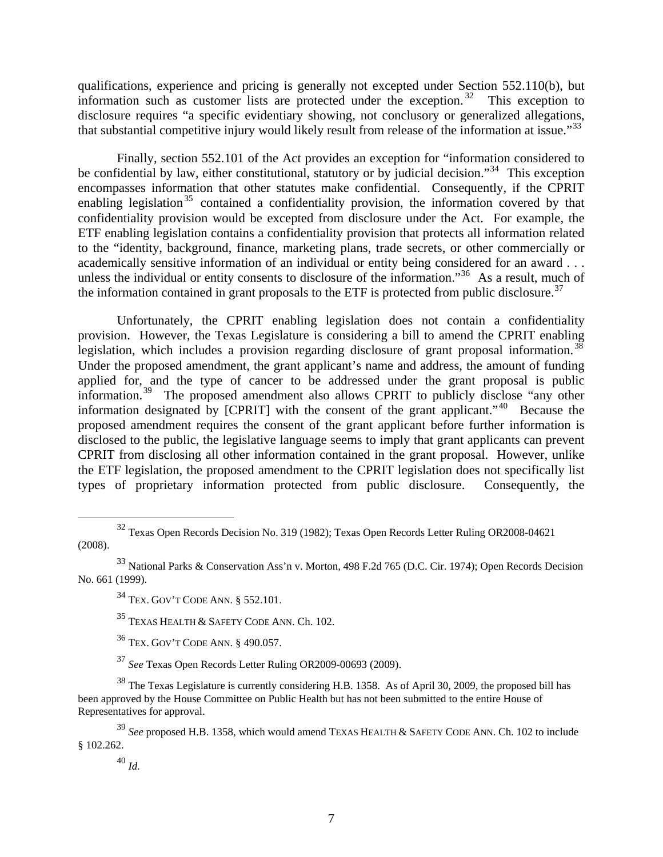qualifications, experience and pricing is generally not excepted under Section 552.110(b), but information such as customer lists are protected under the exception.<sup>[32](#page-6-0)</sup> This exception to disclosure requires "a specific evidentiary showing, not conclusory or generalized allegations, that substantial competitive injury would likely result from release of the information at issue."<sup>[33](#page-6-1)</sup>

Finally, section 552.101 of the Act provides an exception for "information considered to be confidential by law, either constitutional, statutory or by judicial decision."<sup>[34](#page-6-2)</sup> This exception encompasses information that other statutes make confidential. Consequently, if the CPRIT enabling legislation<sup>[35](#page-6-3)</sup> contained a confidentiality provision, the information covered by that confidentiality provision would be excepted from disclosure under the Act. For example, the ETF enabling legislation contains a confidentiality provision that protects all information related to the "identity, background, finance, marketing plans, trade secrets, or other commercially or academically sensitive information of an individual or entity being considered for an award . . . unless the individual or entity consents to disclosure of the information."<sup>[36](#page-6-4)</sup> As a result, much of the information contained in grant proposals to the ETF is protected from public disclosure.<sup>[37](#page-6-5)</sup>

Unfortunately, the CPRIT enabling legislation does not contain a confidentiality provision. However, the Texas Legislature is considering a bill to amend the CPRIT enabling legislation, which includes a provision regarding disclosure of grant proposal information.<sup>[38](#page-6-6)</sup> Under the proposed amendment, the grant applicant's name and address, the amount of funding applied for, and the type of cancer to be addressed under the grant proposal is public information.[39](#page-6-7) The proposed amendment also allows CPRIT to publicly disclose "any other information designated by [CPRIT] with the consent of the grant applicant."[40](#page-6-8) Because the proposed amendment requires the consent of the grant applicant before further information is disclosed to the public, the legislative language seems to imply that grant applicants can prevent CPRIT from disclosing all other information contained in the grant proposal. However, unlike the ETF legislation, the proposed amendment to the CPRIT legislation does not specifically list types of proprietary information protected from public disclosure. Consequently, the

35 TEXAS HEALTH & SAFETY CODE ANN. Ch. 102.

36 TEX. GOV'T CODE ANN. § 490.057.

<sup>37</sup> *See* Texas Open Records Letter Ruling OR2009-00693 (2009).

<span id="page-6-6"></span><span id="page-6-5"></span><span id="page-6-4"></span>38 The Texas Legislature is currently considering H.B. 1358. As of April 30, 2009, the proposed bill has been approved by the House Committee on Public Health but has not been submitted to the entire House of Representatives for approval.

<span id="page-6-8"></span><span id="page-6-7"></span><sup>39</sup> *See* proposed H.B. 1358, which would amend TEXAS HEALTH & SAFETY CODE ANN. Ch. 102 to include § 102.262.

<sup>40</sup> *Id.*

<span id="page-6-0"></span> <sup>32</sup> Texas Open Records Decision No. 319 (1982); Texas Open Records Letter Ruling OR2008-04621 (2008).

<span id="page-6-3"></span><span id="page-6-2"></span><span id="page-6-1"></span><sup>33</sup> National Parks & Conservation Ass'n v. Morton*,* 498 F.2d 765 (D.C. Cir. 1974); Open Records Decision No. 661 (1999).

<sup>34</sup> TEX. GOV'T CODE ANN. § 552.101.